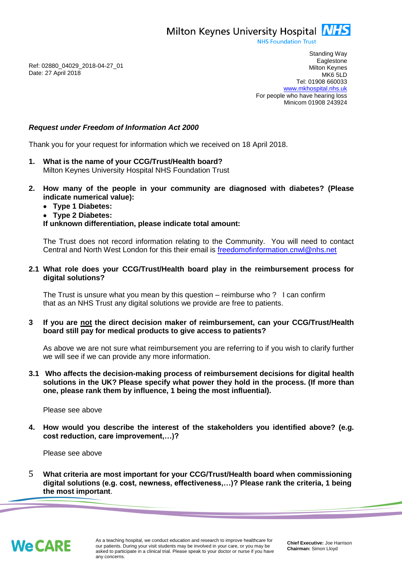Milton Keynes University Hospital **NHS** 

**NHS Foundation Trust** 

Ref: 02880\_04029\_2018-04-27\_01 Date: 27 April 2018

Standing Way **Eaglestone** Milton Keynes MK6 5LD Tel: 01908 660033 [www.mkhospital.nhs.uk](http://www.mkhospital.nhs.uk/) For people who have hearing loss Minicom 01908 243924

# *Request under Freedom of Information Act 2000*

Thank you for your request for information which we received on 18 April 2018.

- **1. What is the name of your CCG/Trust/Health board?** Milton Keynes University Hospital NHS Foundation Trust
- **2. How many of the people in your community are diagnosed with diabetes? (Please indicate numerical value):**
	- **Type 1 Diabetes:**
	- **Type 2 Diabetes:**

### **If unknown differentiation, please indicate total amount:**

The Trust does not record information relating to the Community. You will need to contact Central and North West London for this their email is [freedomofinformation.cnwl@nhs.net](mailto:freedomofinformation.cnwl@nhs.net)

#### **2.1 What role does your CCG/Trust/Health board play in the reimbursement process for digital solutions?**

The Trust is unsure what you mean by this question – reimburse who ? I can confirm that as an NHS Trust any digital solutions we provide are free to patients.

### **3 If you are not the direct decision maker of reimbursement, can your CCG/Trust/Health board still pay for medical products to give access to patients?**

As above we are not sure what reimbursement you are referring to if you wish to clarify further we will see if we can provide any more information.

**3.1 Who affects the decision-making process of reimbursement decisions for digital health solutions in the UK? Please specify what power they hold in the process. (If more than one, please rank them by influence, 1 being the most influential).**

Please see above

**4. How would you describe the interest of the stakeholders you identified above? (e.g. cost reduction, care improvement,…)?**

Please see above

5 **What criteria are most important for your CCG/Trust/Health board when commissioning digital solutions (e.g. cost, newness, effectiveness,…)? Please rank the criteria, 1 being the most important**.